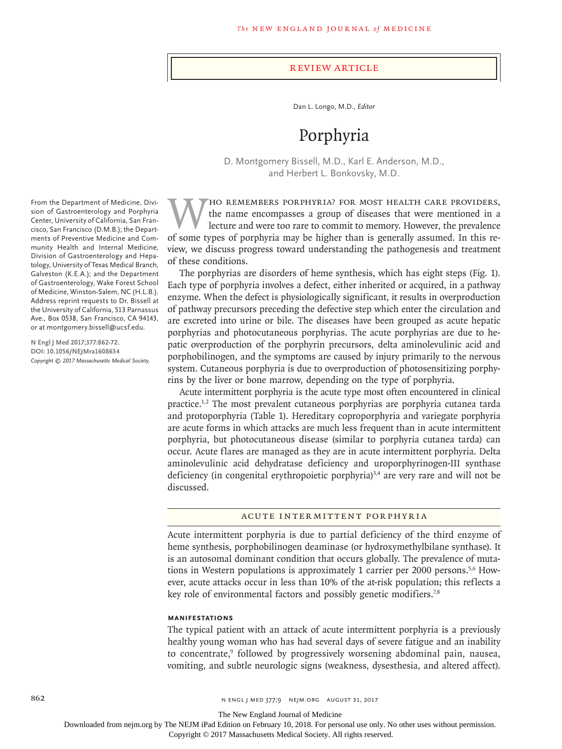#### Review Article

Dan L. Longo, M.D., *Editor*

# Porphyria

D. Montgomery Bissell, M.D., Karl E. Anderson, M.D., and Herbert L. Bonkovsky, M.D.

From the Department of Medicine, Division of Gastroenterology and Porphyria Center, University of California, San Francisco, San Francisco (D.M.B.); the Departments of Preventive Medicine and Community Health and Internal Medicine, Division of Gastroenterology and Hepatology, University of Texas Medical Branch, Galveston (K.E.A.); and the Department of Gastroenterology, Wake Forest School of Medicine, Winston-Salem, NC (H.L.B.). Address reprint requests to Dr. Bissell at the University of California, 513 Parnassus Ave., Box 0538, San Francisco, CA 94143, or at montgomery.bissell@ucsf.edu.

**N Engl J Med 2017;377:862-72. DOI: 10.1056/NEJMra1608634** *Copyright © 2017 Massachusetts Medical Society.*

WHO REMEMBERS PORPHYRIA? FOR MOST HEALTH CARE PROVIDERS, the name encompasses a group of diseases that were mentioned in a lecture and were too rare to commit to memory. However, the prevalence of some types of porphyria m the name encompasses a group of diseases that were mentioned in a lecture and were too rare to commit to memory. However, the prevalence of some types of porphyria may be higher than is generally assumed. In this review, we discuss progress toward understanding the pathogenesis and treatment of these conditions.

The porphyrias are disorders of heme synthesis, which has eight steps (Fig. 1). Each type of porphyria involves a defect, either inherited or acquired, in a pathway enzyme. When the defect is physiologically significant, it results in overproduction of pathway precursors preceding the defective step which enter the circulation and are excreted into urine or bile. The diseases have been grouped as acute hepatic porphyrias and photocutaneous porphyrias. The acute porphyrias are due to hepatic overproduction of the porphyrin precursors, delta aminolevulinic acid and porphobilinogen, and the symptoms are caused by injury primarily to the nervous system. Cutaneous porphyria is due to overproduction of photosensitizing porphyrins by the liver or bone marrow, depending on the type of porphyria.

Acute intermittent porphyria is the acute type most often encountered in clinical practice.1,2 The most prevalent cutaneous porphyrias are porphyria cutanea tarda and protoporphyria (Table 1). Hereditary coproporphyria and variegate porphyria are acute forms in which attacks are much less frequent than in acute intermittent porphyria, but photocutaneous disease (similar to porphyria cutanea tarda) can occur. Acute flares are managed as they are in acute intermittent porphyria. Delta aminolevulinic acid dehydratase deficiency and uroporphyrinogen-III synthase deficiency (in congenital erythropoietic porphyria)<sup>3,4</sup> are very rare and will not be discussed.

## Acute Intermittent Porphyria

Acute intermittent porphyria is due to partial deficiency of the third enzyme of heme synthesis, porphobilinogen deaminase (or hydroxymethylbilane synthase). It is an autosomal dominant condition that occurs globally. The prevalence of mutations in Western populations is approximately 1 carrier per 2000 persons.<sup>5,6</sup> However, acute attacks occur in less than 10% of the at-risk population; this reflects a key role of environmental factors and possibly genetic modifiers.<sup>7,8</sup>

#### **Manifestations**

The typical patient with an attack of acute intermittent porphyria is a previously healthy young woman who has had several days of severe fatigue and an inability to concentrate,<sup>9</sup> followed by progressively worsening abdominal pain, nausea, vomiting, and subtle neurologic signs (weakness, dysesthesia, and altered affect).

862 **N ENGL | MED 377;9 NEIM.ORG AUGUST 31, 2017** 

The New England Journal of Medicine

Downloaded from nejm.org by The NEJM iPad Edition on February 10, 2018. For personal use only. No other uses without permission.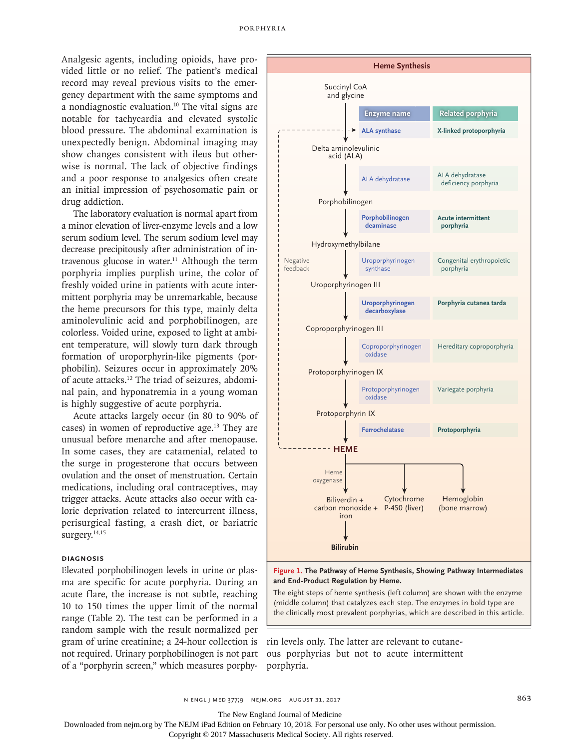Analgesic agents, including opioids, have provided little or no relief. The patient's medical record may reveal previous visits to the emergency department with the same symptoms and a nondiagnostic evaluation.10 The vital signs are notable for tachycardia and elevated systolic blood pressure. The abdominal examination is unexpectedly benign. Abdominal imaging may show changes consistent with ileus but otherwise is normal. The lack of objective findings and a poor response to analgesics often create an initial impression of psychosomatic pain or drug addiction.

The laboratory evaluation is normal apart from a minor elevation of liver-enzyme levels and a low serum sodium level. The serum sodium level may decrease precipitously after administration of intravenous glucose in water.<sup>11</sup> Although the term porphyria implies purplish urine, the color of freshly voided urine in patients with acute intermittent porphyria may be unremarkable, because the heme precursors for this type, mainly delta aminolevulinic acid and porphobilinogen, are colorless. Voided urine, exposed to light at ambient temperature, will slowly turn dark through formation of uroporphyrin-like pigments (porphobilin). Seizures occur in approximately 20% of acute attacks.12 The triad of seizures, abdominal pain, and hyponatremia in a young woman is highly suggestive of acute porphyria.

Acute attacks largely occur (in 80 to 90% of cases) in women of reproductive age.13 They are unusual before menarche and after menopause. In some cases, they are catamenial, related to the surge in progesterone that occurs between ovulation and the onset of menstruation. Certain medications, including oral contraceptives, may trigger attacks. Acute attacks also occur with caloric deprivation related to intercurrent illness, perisurgical fasting, a crash diet, or bariatric surgery.<sup>14,15</sup>

#### **Diagnosis**

Elevated porphobilinogen levels in urine or plasma are specific for acute porphyria. During an acute flare, the increase is not subtle, reaching 10 to 150 times the upper limit of the normal range (Table 2). The test can be performed in a random sample with the result normalized per gram of urine creatinine; a 24-hour collection is not required. Urinary porphobilinogen is not part of a "porphyrin screen," which measures porphy-



**Figure 1. The Pathway of Heme Synthesis, Showing Pathway Intermediates and End-Product Regulation by Heme.**

The eight steps of heme synthesis (left column) are shown with the enzyme (middle column) that catalyzes each step. The enzymes in bold type are the clinically most prevalent porphyrias, which are described in this article.

rin levels only. The latter are relevant to cutaneous porphyrias but not to acute intermittent porphyria.

n engl j med 377;9 nejm.org August 31, 2017 863

The New England Journal of Medicine

Downloaded from nejm.org by The NEJM iPad Edition on February 10, 2018. For personal use only. No other uses without permission.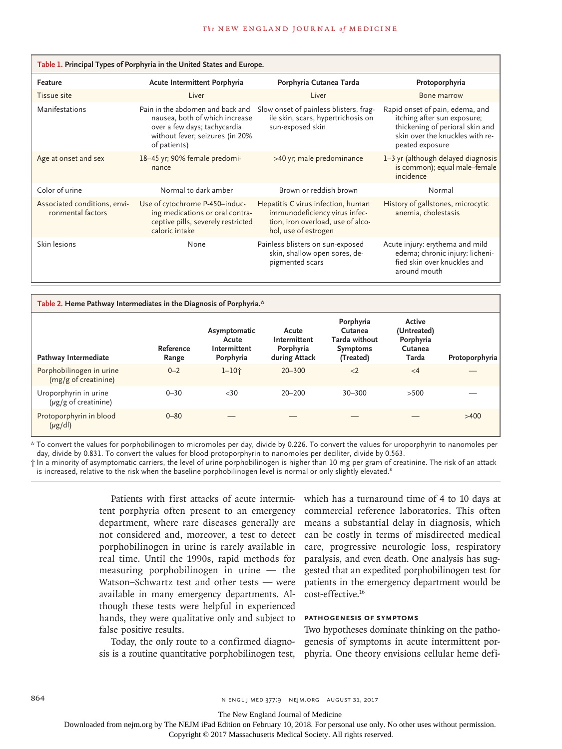#### **The NEW ENGLAND JOURNAL of MEDICINE**

| Table 1. Principal Types of Porphyria in the United States and Europe. |                                                                                                                                                       |                                                                                                                                  |                                                                                                                                                         |  |  |  |  |
|------------------------------------------------------------------------|-------------------------------------------------------------------------------------------------------------------------------------------------------|----------------------------------------------------------------------------------------------------------------------------------|---------------------------------------------------------------------------------------------------------------------------------------------------------|--|--|--|--|
| Feature                                                                | Acute Intermittent Porphyria                                                                                                                          | Porphyria Cutanea Tarda                                                                                                          | Protoporphyria                                                                                                                                          |  |  |  |  |
| Tissue site                                                            | Liver                                                                                                                                                 | Liver                                                                                                                            | Bone marrow                                                                                                                                             |  |  |  |  |
| Manifestations                                                         | Pain in the abdomen and back and<br>nausea, both of which increase<br>over a few days; tachycardia<br>without fever; seizures (in 20%<br>of patients) | Slow onset of painless blisters, frag-<br>ile skin, scars, hypertrichosis on<br>sun-exposed skin                                 | Rapid onset of pain, edema, and<br>itching after sun exposure;<br>thickening of perioral skin and<br>skin over the knuckles with re-<br>peated exposure |  |  |  |  |
| Age at onset and sex                                                   | 18-45 yr; 90% female predomi-<br>nance                                                                                                                | >40 yr; male predominance                                                                                                        | 1-3 yr (although delayed diagnosis<br>is common); equal male-female<br>incidence                                                                        |  |  |  |  |
| Color of urine                                                         | Normal to dark amber                                                                                                                                  | Brown or reddish brown                                                                                                           | Normal                                                                                                                                                  |  |  |  |  |
| Associated conditions, envi-<br>ronmental factors                      | Use of cytochrome P-450-induc-<br>ing medications or oral contra-<br>ceptive pills, severely restricted<br>caloric intake                             | Hepatitis C virus infection, human<br>immunodeficiency virus infec-<br>tion, iron overload, use of alco-<br>hol, use of estrogen | History of gallstones, microcytic<br>anemia, cholestasis                                                                                                |  |  |  |  |
| Skin lesions                                                           | None                                                                                                                                                  | Painless blisters on sun-exposed<br>skin, shallow open sores, de-<br>pigmented scars                                             | Acute injury: erythema and mild<br>edema; chronic injury: licheni-<br>fied skin over knuckles and<br>around mouth                                       |  |  |  |  |

| Table 2. Heme Pathway Intermediates in the Diagnosis of Porphyria.* |                    |                                                    |                                                     |                                                                       |                                                        |                |  |  |
|---------------------------------------------------------------------|--------------------|----------------------------------------------------|-----------------------------------------------------|-----------------------------------------------------------------------|--------------------------------------------------------|----------------|--|--|
| Pathway Intermediate                                                | Reference<br>Range | Asymptomatic<br>Acute<br>Intermittent<br>Porphyria | Acute<br>Intermittent<br>Porphyria<br>during Attack | Porphyria<br>Cutanea<br>Tarda without<br><b>Symptoms</b><br>(Treated) | Active<br>(Untreated)<br>Porphyria<br>Cutanea<br>Tarda | Protoporphyria |  |  |
| Porphobilinogen in urine<br>(mg/g of creatinine)                    | $0 - 2$            | $1 - 10$ <sup>+</sup>                              | $20 - 300$                                          | <                                                                     | $\leq 4$                                               |                |  |  |
| Uroporphyrin in urine<br>$(\mu$ g/g of creatinine)                  | $0 - 30$           | $<$ 30                                             | $20 - 200$                                          | $30 - 300$                                                            | >500                                                   |                |  |  |
| Protoporphyrin in blood<br>$(\mu g/d)$                              | $0 - 80$           |                                                    |                                                     |                                                                       |                                                        | >400           |  |  |

\* To convert the values for porphobilinogen to micromoles per day, divide by 0.226. To convert the values for uroporphyrin to nanomoles per day, divide by 0.831. To convert the values for blood protoporphyrin to nanomoles per deciliter, divide by 0.563.

† In a minority of asymptomatic carriers, the level of urine porphobilinogen is higher than 10 mg per gram of creatinine. The risk of an attack is increased, relative to the risk when the baseline porphobilinogen level is normal or only slightly elevated.<sup>8</sup>

> Patients with first attacks of acute intermittent porphyria often present to an emergency department, where rare diseases generally are not considered and, moreover, a test to detect porphobilinogen in urine is rarely available in real time. Until the 1990s, rapid methods for measuring porphobilinogen in urine — the Watson–Schwartz test and other tests — were available in many emergency departments. Although these tests were helpful in experienced hands, they were qualitative only and subject to false positive results.

> Today, the only route to a confirmed diagnosis is a routine quantitative porphobilinogen test,

which has a turnaround time of 4 to 10 days at commercial reference laboratories. This often means a substantial delay in diagnosis, which can be costly in terms of misdirected medical care, progressive neurologic loss, respiratory paralysis, and even death. One analysis has suggested that an expedited porphobilinogen test for patients in the emergency department would be cost-effective.16

# **Pathogenesis of Symptoms**

Two hypotheses dominate thinking on the pathogenesis of symptoms in acute intermittent porphyria. One theory envisions cellular heme defi-

864 **864** n engl j med 377;9 NEIM.ORG AUGUST 31, 2017

The New England Journal of Medicine

Downloaded from nejm.org by The NEJM iPad Edition on February 10, 2018. For personal use only. No other uses without permission.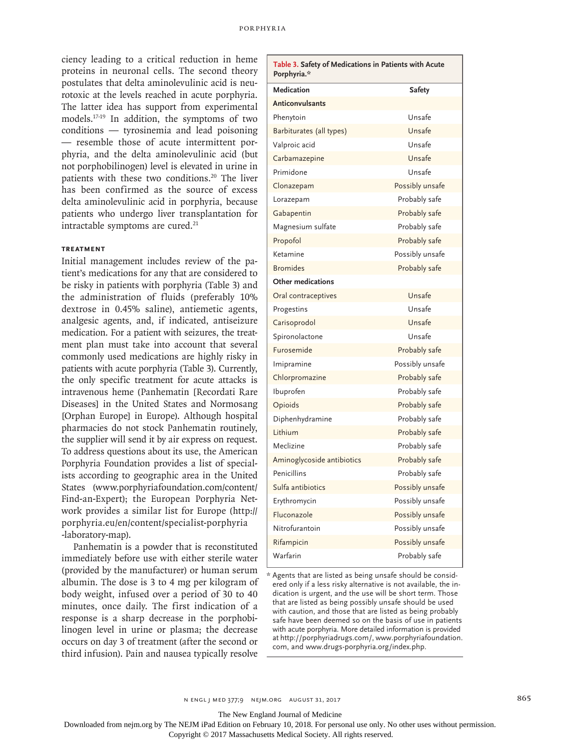ciency leading to a critical reduction in heme proteins in neuronal cells. The second theory postulates that delta aminolevulinic acid is neurotoxic at the levels reached in acute porphyria. The latter idea has support from experimental models.17-19 In addition, the symptoms of two conditions — tyrosinemia and lead poisoning — resemble those of acute intermittent porphyria, and the delta aminolevulinic acid (but not porphobilinogen) level is elevated in urine in patients with these two conditions.<sup>20</sup> The liver has been confirmed as the source of excess delta aminolevulinic acid in porphyria, because patients who undergo liver transplantation for intractable symptoms are cured.<sup>21</sup>

# **Treatment**

Initial management includes review of the patient's medications for any that are considered to be risky in patients with porphyria (Table 3) and the administration of fluids (preferably 10% dextrose in 0.45% saline), antiemetic agents, analgesic agents, and, if indicated, antiseizure medication. For a patient with seizures, the treatment plan must take into account that several commonly used medications are highly risky in patients with acute porphyria (Table 3). Currently, the only specific treatment for acute attacks is intravenous heme (Panhematin [Recordati Rare Diseases] in the United States and Normosang [Orphan Europe] in Europe). Although hospital pharmacies do not stock Panhematin routinely, the supplier will send it by air express on request. To address questions about its use, the American Porphyria Foundation provides a list of specialists according to geographic area in the United States (www.porphyriafoundation.com/content/ Find-an-Expert); the European Porphyria Network provides a similar list for Europe (http:// porphyria.eu/en/content/specialist-porphyria -laboratory-map).

Panhematin is a powder that is reconstituted immediately before use with either sterile water (provided by the manufacturer) or human serum albumin. The dose is 3 to 4 mg per kilogram of body weight, infused over a period of 30 to 40 minutes, once daily. The first indication of a response is a sharp decrease in the porphobilinogen level in urine or plasma; the decrease occurs on day 3 of treatment (after the second or third infusion). Pain and nausea typically resolve

| Table 3. Safety of Medications in Patients with Acute<br>Porphyria.* |                 |  |  |  |
|----------------------------------------------------------------------|-----------------|--|--|--|
| <b>Medication</b>                                                    | <b>Safety</b>   |  |  |  |
| <b>Anticonvulsants</b>                                               |                 |  |  |  |
| Phenytoin                                                            | Unsafe          |  |  |  |
| Barbiturates (all types)                                             | Unsafe          |  |  |  |
| Valproic acid                                                        | Unsafe          |  |  |  |
| Carbamazepine                                                        | Unsafe          |  |  |  |
| Primidone                                                            | Unsafe          |  |  |  |
| Clonazepam                                                           | Possibly unsafe |  |  |  |
| Lorazepam                                                            | Probably safe   |  |  |  |
| Gabapentin                                                           | Probably safe   |  |  |  |
| Magnesium sulfate                                                    | Probably safe   |  |  |  |
| Propofol                                                             | Probably safe   |  |  |  |
| Ketamine                                                             | Possibly unsafe |  |  |  |
| <b>Bromides</b>                                                      | Probably safe   |  |  |  |
| Other medications                                                    |                 |  |  |  |
| Oral contraceptives                                                  | Unsafe          |  |  |  |
| Progestins                                                           | Unsafe          |  |  |  |
| Carisoprodol                                                         | Unsafe          |  |  |  |
| Spironolactone                                                       | Unsafe          |  |  |  |
| Furosemide                                                           | Probably safe   |  |  |  |
| Imipramine                                                           | Possibly unsafe |  |  |  |
| Chlorpromazine                                                       | Probably safe   |  |  |  |
| Ibuprofen                                                            | Probably safe   |  |  |  |
| Opioids                                                              | Probably safe   |  |  |  |
| Diphenhydramine                                                      | Probably safe   |  |  |  |
| Lithium                                                              | Probably safe   |  |  |  |
| Meclizine                                                            | Probably safe   |  |  |  |
| Aminoglycoside antibiotics                                           | Probably safe   |  |  |  |
| Penicillins                                                          | Probably safe   |  |  |  |
| Sulfa antibiotics                                                    | Possibly unsafe |  |  |  |
| Erythromycin                                                         | Possibly unsafe |  |  |  |
| Fluconazole                                                          | Possibly unsafe |  |  |  |
| Nitrofurantoin                                                       | Possibly unsafe |  |  |  |
| Rifampicin                                                           | Possibly unsafe |  |  |  |
| Warfarin                                                             | Probably safe   |  |  |  |

\* Agents that are listed as being unsafe should be considered only if a less risky alternative is not available, the indication is urgent, and the use will be short term. Those that are listed as being possibly unsafe should be used with caution, and those that are listed as being probably safe have been deemed so on the basis of use in patients with acute porphyria. More detailed information is provided at http://porphyriadrugs.com/, www.porphyriafoundation. com, and www.drugs-porphyria.org/index.php.

The New England Journal of Medicine

Downloaded from nejm.org by The NEJM iPad Edition on February 10, 2018. For personal use only. No other uses without permission.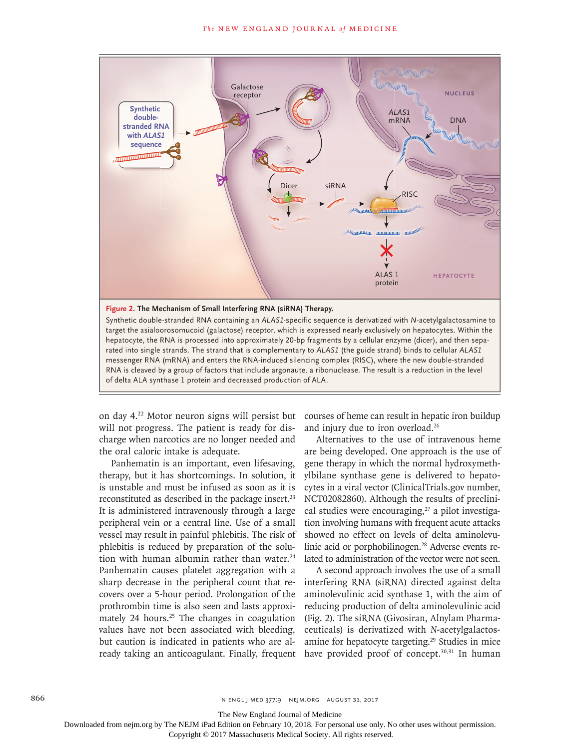

hepatocyte, the RNA is processed into approximately 20-bp fragments by a cellular enzyme (dicer), and then separated into single strands. The strand that is complementary to *ALAS1* (the guide strand) binds to cellular *ALAS1* messenger RNA (mRNA) and enters the RNA-induced silencing complex (RISC), where the new double-stranded RNA is cleaved by a group of factors that include argonaute, a ribonuclease. The result is a reduction in the level of delta ALA synthase 1 protein and decreased production of ALA.

on day 4.22 Motor neuron signs will persist but will not progress. The patient is ready for discharge when narcotics are no longer needed and the oral caloric intake is adequate.

Panhematin is an important, even lifesaving, therapy, but it has shortcomings. In solution, it is unstable and must be infused as soon as it is reconstituted as described in the package insert.<sup>23</sup> It is administered intravenously through a large peripheral vein or a central line. Use of a small vessel may result in painful phlebitis. The risk of phlebitis is reduced by preparation of the solution with human albumin rather than water. $24$ Panhematin causes platelet aggregation with a sharp decrease in the peripheral count that recovers over a 5-hour period. Prolongation of the prothrombin time is also seen and lasts approximately  $24$  hours.<sup>25</sup> The changes in coagulation values have not been associated with bleeding, but caution is indicated in patients who are already taking an anticoagulant. Finally, frequent

courses of heme can result in hepatic iron buildup and injury due to iron overload.<sup>26</sup>

Alternatives to the use of intravenous heme are being developed. One approach is the use of gene therapy in which the normal hydroxymethylbilane synthase gene is delivered to hepatocytes in a viral vector (ClinicalTrials.gov number, NCT02082860). Although the results of preclinical studies were encouraging, $27$  a pilot investigation involving humans with frequent acute attacks showed no effect on levels of delta aminolevulinic acid or porphobilinogen.<sup>28</sup> Adverse events related to administration of the vector were not seen.

A second approach involves the use of a small interfering RNA (siRNA) directed against delta aminolevulinic acid synthase 1, with the aim of reducing production of delta aminolevulinic acid (Fig. 2). The siRNA (Givosiran, Alnylam Pharmaceuticals) is derivatized with *N*-acetylgalactosamine for hepatocyte targeting.29 Studies in mice have provided proof of concept.<sup>30,31</sup> In human

866 **866** N ENGL J MED 377;9 NEJM.ORG AUGUST 31, 2017

The New England Journal of Medicine

Downloaded from nejm.org by The NEJM iPad Edition on February 10, 2018. For personal use only. No other uses without permission.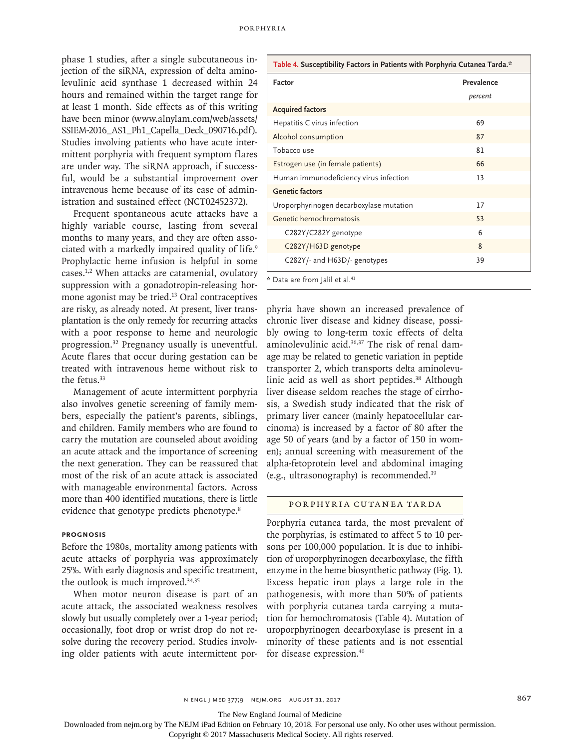phase 1 studies, after a single subcutaneous injection of the siRNA, expression of delta aminolevulinic acid synthase 1 decreased within 24 hours and remained within the target range for at least 1 month. Side effects as of this writing have been minor (www.alnylam.com/web/assets/ SSIEM-2016\_AS1\_Ph1\_Capella\_Deck\_090716.pdf). Studies involving patients who have acute intermittent porphyria with frequent symptom flares are under way. The siRNA approach, if successful, would be a substantial improvement over intravenous heme because of its ease of administration and sustained effect (NCT02452372).

Frequent spontaneous acute attacks have a highly variable course, lasting from several months to many years, and they are often associated with a markedly impaired quality of life.<sup>9</sup> Prophylactic heme infusion is helpful in some cases.1,2 When attacks are catamenial, ovulatory suppression with a gonadotropin-releasing hormone agonist may be tried.<sup>13</sup> Oral contraceptives are risky, as already noted. At present, liver transplantation is the only remedy for recurring attacks with a poor response to heme and neurologic progression.32 Pregnancy usually is uneventful. Acute flares that occur during gestation can be treated with intravenous heme without risk to the fetus.<sup>33</sup>

Management of acute intermittent porphyria also involves genetic screening of family members, especially the patient's parents, siblings, and children. Family members who are found to carry the mutation are counseled about avoiding an acute attack and the importance of screening the next generation. They can be reassured that most of the risk of an acute attack is associated with manageable environmental factors. Across more than 400 identified mutations, there is little evidence that genotype predicts phenotype.<sup>8</sup>

# **Prognosis**

Before the 1980s, mortality among patients with acute attacks of porphyria was approximately 25%. With early diagnosis and specific treatment, the outlook is much improved.<sup>34,35</sup>

When motor neuron disease is part of an acute attack, the associated weakness resolves slowly but usually completely over a 1-year period; occasionally, foot drop or wrist drop do not resolve during the recovery period. Studies involving older patients with acute intermittent por-

| Table 4. Susceptibility Factors in Patients with Porphyria Cutanea Tarda.* |            |  |  |  |  |
|----------------------------------------------------------------------------|------------|--|--|--|--|
| Factor                                                                     | Prevalence |  |  |  |  |
|                                                                            | percent    |  |  |  |  |
| <b>Acquired factors</b>                                                    |            |  |  |  |  |
| Hepatitis C virus infection                                                | 69         |  |  |  |  |
| Alcohol consumption                                                        | 87         |  |  |  |  |
| Tobacco use                                                                | 81         |  |  |  |  |
| Estrogen use (in female patients)                                          | 66         |  |  |  |  |
| Human immunodeficiency virus infection                                     | 13         |  |  |  |  |
| <b>Genetic factors</b>                                                     |            |  |  |  |  |
| Uroporphyrinogen decarboxylase mutation                                    | 17         |  |  |  |  |
| Genetic hemochromatosis                                                    | 53         |  |  |  |  |
| C282Y/C282Y genotype                                                       | 6          |  |  |  |  |
| C282Y/H63D genotype                                                        | 8          |  |  |  |  |
| C282Y/- and H63D/- genotypes                                               | 39         |  |  |  |  |
| * Data are from Jalil et al. <sup>41</sup>                                 |            |  |  |  |  |

phyria have shown an increased prevalence of chronic liver disease and kidney disease, possibly owing to long-term toxic effects of delta aminolevulinic acid.36,37 The risk of renal damage may be related to genetic variation in peptide transporter 2, which transports delta aminolevulinic acid as well as short peptides.<sup>38</sup> Although liver disease seldom reaches the stage of cirrhosis, a Swedish study indicated that the risk of primary liver cancer (mainly hepatocellular carcinoma) is increased by a factor of 80 after the age 50 of years (and by a factor of 150 in women); annual screening with measurement of the alpha-fetoprotein level and abdominal imaging (e.g., ultrasonography) is recommended.39

# Porphyria Cutanea Tarda

Porphyria cutanea tarda, the most prevalent of the porphyrias, is estimated to affect 5 to 10 persons per 100,000 population. It is due to inhibition of uroporphyrinogen decarboxylase, the fifth enzyme in the heme biosynthetic pathway (Fig. 1). Excess hepatic iron plays a large role in the pathogenesis, with more than 50% of patients with porphyria cutanea tarda carrying a mutation for hemochromatosis (Table 4). Mutation of uroporphyrinogen decarboxylase is present in a minority of these patients and is not essential for disease expression.40

n engl j med 377;9 nejm.org August 31, 2017 867

The New England Journal of Medicine

Downloaded from nejm.org by The NEJM iPad Edition on February 10, 2018. For personal use only. No other uses without permission.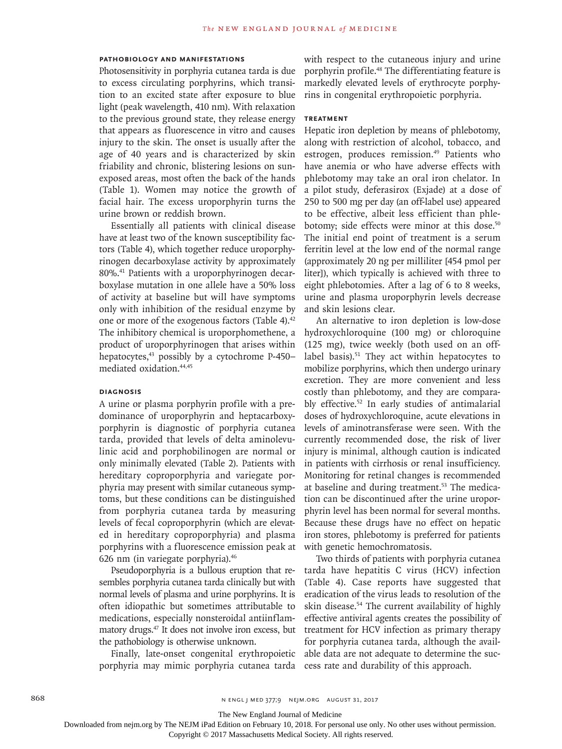# **Pathobiology and Manifestations**

Photosensitivity in porphyria cutanea tarda is due to excess circulating porphyrins, which transition to an excited state after exposure to blue light (peak wavelength, 410 nm). With relaxation to the previous ground state, they release energy that appears as fluorescence in vitro and causes injury to the skin. The onset is usually after the age of 40 years and is characterized by skin friability and chronic, blistering lesions on sunexposed areas, most often the back of the hands (Table 1). Women may notice the growth of facial hair. The excess uroporphyrin turns the urine brown or reddish brown.

Essentially all patients with clinical disease have at least two of the known susceptibility factors (Table 4), which together reduce uroporphyrinogen decarboxylase activity by approximately 80%.41 Patients with a uroporphyrinogen decarboxylase mutation in one allele have a 50% loss of activity at baseline but will have symptoms only with inhibition of the residual enzyme by one or more of the exogenous factors (Table 4).<sup>42</sup> The inhibitory chemical is uroporphomethene, a product of uroporphyrinogen that arises within hepatocytes, $43$  possibly by a cytochrome P-450– mediated oxidation.44,45

#### **Diagnosis**

A urine or plasma porphyrin profile with a predominance of uroporphyrin and heptacarboxyporphyrin is diagnostic of porphyria cutanea tarda, provided that levels of delta aminolevulinic acid and porphobilinogen are normal or only minimally elevated (Table 2). Patients with hereditary coproporphyria and variegate porphyria may present with similar cutaneous symptoms, but these conditions can be distinguished from porphyria cutanea tarda by measuring levels of fecal coproporphyrin (which are elevated in hereditary coproporphyria) and plasma porphyrins with a fluorescence emission peak at 626 nm (in variegate porphyria).46

Pseudoporphyria is a bullous eruption that resembles porphyria cutanea tarda clinically but with normal levels of plasma and urine porphyrins. It is often idiopathic but sometimes attributable to medications, especially nonsteroidal antiinflammatory drugs.47 It does not involve iron excess, but the pathobiology is otherwise unknown.

Finally, late-onset congenital erythropoietic porphyria may mimic porphyria cutanea tarda with respect to the cutaneous injury and urine porphyrin profile.48 The differentiating feature is markedly elevated levels of erythrocyte porphyrins in congenital erythropoietic porphyria.

# **Treatment**

Hepatic iron depletion by means of phlebotomy, along with restriction of alcohol, tobacco, and estrogen, produces remission.<sup>49</sup> Patients who have anemia or who have adverse effects with phlebotomy may take an oral iron chelator. In a pilot study, deferasirox (Exjade) at a dose of 250 to 500 mg per day (an off-label use) appeared to be effective, albeit less efficient than phlebotomy; side effects were minor at this dose.<sup>50</sup> The initial end point of treatment is a serum ferritin level at the low end of the normal range (approximately 20 ng per milliliter [454 pmol per liter]), which typically is achieved with three to eight phlebotomies. After a lag of 6 to 8 weeks, urine and plasma uroporphyrin levels decrease and skin lesions clear.

An alternative to iron depletion is low-dose hydroxychloroquine (100 mg) or chloroquine (125 mg), twice weekly (both used on an offlabel basis).<sup>51</sup> They act within hepatocytes to mobilize porphyrins, which then undergo urinary excretion. They are more convenient and less costly than phlebotomy, and they are comparably effective.52 In early studies of antimalarial doses of hydroxychloroquine, acute elevations in levels of aminotransferase were seen. With the currently recommended dose, the risk of liver injury is minimal, although caution is indicated in patients with cirrhosis or renal insufficiency. Monitoring for retinal changes is recommended at baseline and during treatment.<sup>53</sup> The medication can be discontinued after the urine uroporphyrin level has been normal for several months. Because these drugs have no effect on hepatic iron stores, phlebotomy is preferred for patients with genetic hemochromatosis.

Two thirds of patients with porphyria cutanea tarda have hepatitis C virus (HCV) infection (Table 4). Case reports have suggested that eradication of the virus leads to resolution of the skin disease.54 The current availability of highly effective antiviral agents creates the possibility of treatment for HCV infection as primary therapy for porphyria cutanea tarda, although the available data are not adequate to determine the success rate and durability of this approach.

The New England Journal of Medicine

Downloaded from nejm.org by The NEJM iPad Edition on February 10, 2018. For personal use only. No other uses without permission.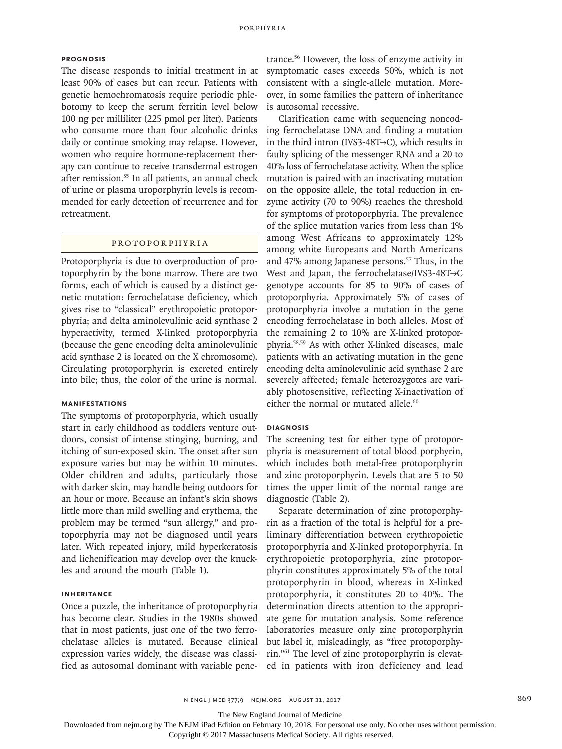# **Prognosis**

The disease responds to initial treatment in at least 90% of cases but can recur. Patients with genetic hemochromatosis require periodic phlebotomy to keep the serum ferritin level below 100 ng per milliliter (225 pmol per liter). Patients who consume more than four alcoholic drinks daily or continue smoking may relapse. However, women who require hormone-replacement therapy can continue to receive transdermal estrogen after remission.55 In all patients, an annual check of urine or plasma uroporphyrin levels is recommended for early detection of recurrence and for retreatment.

# Protoporphyria

Protoporphyria is due to overproduction of protoporphyrin by the bone marrow. There are two forms, each of which is caused by a distinct genetic mutation: ferrochelatase deficiency, which gives rise to "classical" erythropoietic protoporphyria; and delta aminolevulinic acid synthase 2 hyperactivity, termed X-linked protoporphyria (because the gene encoding delta aminolevulinic acid synthase 2 is located on the X chromosome). Circulating protoporphyrin is excreted entirely into bile; thus, the color of the urine is normal.

#### **Manifestations**

The symptoms of protoporphyria, which usually start in early childhood as toddlers venture outdoors, consist of intense stinging, burning, and itching of sun-exposed skin. The onset after sun exposure varies but may be within 10 minutes. Older children and adults, particularly those with darker skin, may handle being outdoors for an hour or more. Because an infant's skin shows little more than mild swelling and erythema, the problem may be termed "sun allergy," and protoporphyria may not be diagnosed until years later. With repeated injury, mild hyperkeratosis and lichenification may develop over the knuckles and around the mouth (Table 1).

## **Inheritance**

Once a puzzle, the inheritance of protoporphyria has become clear. Studies in the 1980s showed that in most patients, just one of the two ferrochelatase alleles is mutated. Because clinical expression varies widely, the disease was classified as autosomal dominant with variable penetrance.56 However, the loss of enzyme activity in symptomatic cases exceeds 50%, which is not consistent with a single-allele mutation. Moreover, in some families the pattern of inheritance is autosomal recessive.

Clarification came with sequencing noncoding ferrochelatase DNA and finding a mutation in the third intron (IVS3-48T→C), which results in faulty splicing of the messenger RNA and a 20 to 40% loss of ferrochelatase activity. When the splice mutation is paired with an inactivating mutation on the opposite allele, the total reduction in enzyme activity (70 to 90%) reaches the threshold for symptoms of protoporphyria. The prevalence of the splice mutation varies from less than 1% among West Africans to approximately 12% among white Europeans and North Americans and 47% among Japanese persons.<sup>57</sup> Thus, in the West and Japan, the ferrochelatase/IVS3-48T→C genotype accounts for 85 to 90% of cases of protoporphyria. Approximately 5% of cases of protoporphyria involve a mutation in the gene encoding ferrochelatase in both alleles. Most of the remaining 2 to 10% are X-linked protoporphyria.58,59 As with other X-linked diseases, male patients with an activating mutation in the gene encoding delta aminolevulinic acid synthase 2 are severely affected; female heterozygotes are variably photosensitive, reflecting X-inactivation of either the normal or mutated allele.<sup>60</sup>

#### **Diagnosis**

The screening test for either type of protoporphyria is measurement of total blood porphyrin, which includes both metal-free protoporphyrin and zinc protoporphyrin. Levels that are 5 to 50 times the upper limit of the normal range are diagnostic (Table 2).

Separate determination of zinc protoporphyrin as a fraction of the total is helpful for a preliminary differentiation between erythropoietic protoporphyria and X-linked protoporphyria. In erythropoietic protoporphyria, zinc protoporphyrin constitutes approximately 5% of the total protoporphyrin in blood, whereas in X-linked protoporphyria, it constitutes 20 to 40%. The determination directs attention to the appropriate gene for mutation analysis. Some reference laboratories measure only zinc protoporphyrin but label it, misleadingly, as "free protoporphyrin."61 The level of zinc protoporphyrin is elevated in patients with iron deficiency and lead

n engl j med 377;9 nejm.org August 31, 2017 869

The New England Journal of Medicine

Downloaded from nejm.org by The NEJM iPad Edition on February 10, 2018. For personal use only. No other uses without permission.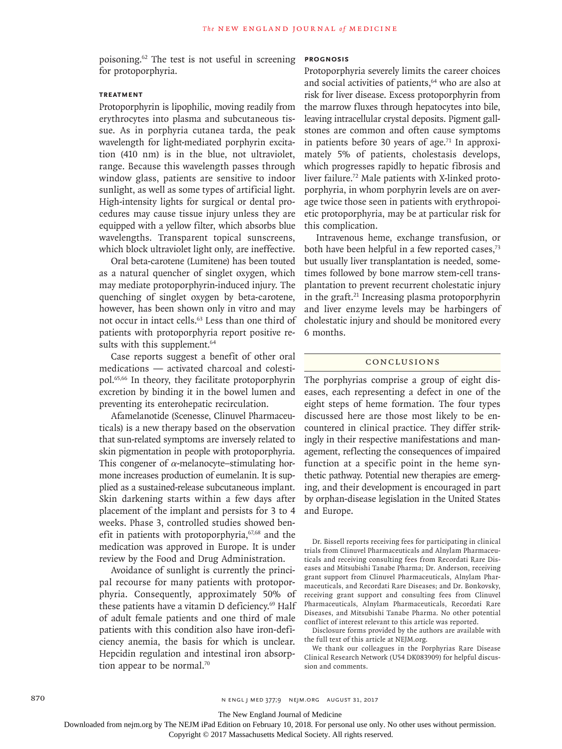poisoning.62 The test is not useful in screening for protoporphyria.

# **Treatment**

Protoporphyrin is lipophilic, moving readily from erythrocytes into plasma and subcutaneous tissue. As in porphyria cutanea tarda, the peak wavelength for light-mediated porphyrin excitation (410 nm) is in the blue, not ultraviolet, range. Because this wavelength passes through window glass, patients are sensitive to indoor sunlight, as well as some types of artificial light. High-intensity lights for surgical or dental procedures may cause tissue injury unless they are equipped with a yellow filter, which absorbs blue wavelengths. Transparent topical sunscreens, which block ultraviolet light only, are ineffective.

Oral beta-carotene (Lumitene) has been touted as a natural quencher of singlet oxygen, which may mediate protoporphyrin-induced injury. The quenching of singlet oxygen by beta-carotene, however, has been shown only in vitro and may not occur in intact cells.<sup>63</sup> Less than one third of patients with protoporphyria report positive results with this supplement.<sup>64</sup>

Case reports suggest a benefit of other oral medications — activated charcoal and colestipol.65,66 In theory, they facilitate protoporphyrin excretion by binding it in the bowel lumen and preventing its enterohepatic recirculation.

Afamelanotide (Scenesse, Clinuvel Pharmaceuticals) is a new therapy based on the observation that sun-related symptoms are inversely related to skin pigmentation in people with protoporphyria. This congener of  $\alpha$ -melanocyte–stimulating hormone increases production of eumelanin. It is supplied as a sustained-release subcutaneous implant. Skin darkening starts within a few days after placement of the implant and persists for 3 to 4 weeks. Phase 3, controlled studies showed benefit in patients with protoporphyria,<sup>67,68</sup> and the medication was approved in Europe. It is under review by the Food and Drug Administration.

Avoidance of sunlight is currently the principal recourse for many patients with protoporphyria. Consequently, approximately 50% of these patients have a vitamin D deficiency.<sup>69</sup> Half of adult female patients and one third of male patients with this condition also have iron-deficiency anemia, the basis for which is unclear. Hepcidin regulation and intestinal iron absorption appear to be normal.<sup>70</sup>

#### **Prognosis**

Protoporphyria severely limits the career choices and social activities of patients,<sup>64</sup> who are also at risk for liver disease. Excess protoporphyrin from the marrow fluxes through hepatocytes into bile, leaving intracellular crystal deposits. Pigment gallstones are common and often cause symptoms in patients before 30 years of age.<sup>71</sup> In approximately 5% of patients, cholestasis develops, which progresses rapidly to hepatic fibrosis and liver failure.72 Male patients with X-linked protoporphyria, in whom porphyrin levels are on average twice those seen in patients with erythropoietic protoporphyria, may be at particular risk for this complication.

Intravenous heme, exchange transfusion, or both have been helpful in a few reported cases,<sup>73</sup> but usually liver transplantation is needed, sometimes followed by bone marrow stem-cell transplantation to prevent recurrent cholestatic injury in the graft. $21$  Increasing plasma protoporphyrin and liver enzyme levels may be harbingers of cholestatic injury and should be monitored every 6 months.

## Conclusions

The porphyrias comprise a group of eight diseases, each representing a defect in one of the eight steps of heme formation. The four types discussed here are those most likely to be encountered in clinical practice. They differ strikingly in their respective manifestations and management, reflecting the consequences of impaired function at a specific point in the heme synthetic pathway. Potential new therapies are emerging, and their development is encouraged in part by orphan-disease legislation in the United States and Europe.

Dr. Bissell reports receiving fees for participating in clinical trials from Clinuvel Pharmaceuticals and Alnylam Pharmaceuticals and receiving consulting fees from Recordati Rare Diseases and Mitsubishi Tanabe Pharma; Dr. Anderson, receiving grant support from Clinuvel Pharmaceuticals, Alnylam Pharmaceuticals, and Recordati Rare Diseases; and Dr. Bonkovsky, receiving grant support and consulting fees from Clinuvel Pharmaceuticals, Alnylam Pharmaceuticals, Recordati Rare Diseases, and Mitsubishi Tanabe Pharma. No other potential conflict of interest relevant to this article was reported.

Disclosure forms provided by the authors are available with the full text of this article at NEJM.org.

We thank our colleagues in the Porphyrias Rare Disease Clinical Research Network (U54 DK083909) for helpful discussion and comments.

The New England Journal of Medicine

Downloaded from nejm.org by The NEJM iPad Edition on February 10, 2018. For personal use only. No other uses without permission.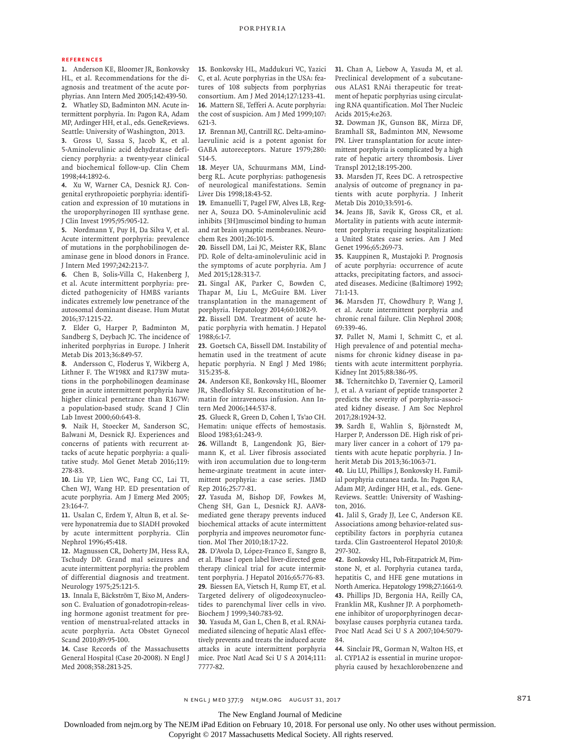#### **References**

**1.** Anderson KE, Bloomer JR, Bonkovsky HL, et al. Recommendations for the diagnosis and treatment of the acute porphyrias. Ann Intern Med 2005;142:439-50. **2.** Whatley SD, Badminton MN. Acute intermittent porphyria. In: Pagon RA, Adam MP, Ardinger HH, et al., eds. GeneReviews. Seattle: University of Washington, 2013. **3.** Gross U, Sassa S, Jacob K, et al. 5-Aminolevulinic acid dehydratase deficiency porphyria: a twenty-year clinical and biochemical follow-up. Clin Chem 1998;44:1892-6.

**4.** Xu W, Warner CA, Desnick RJ. Congenital erythropoietic porphyria: identification and expression of 10 mutations in the uroporphyrinogen III synthase gene. J Clin Invest 1995;95:905-12.

**5.** Nordmann Y, Puy H, Da Silva V, et al. Acute intermittent porphyria: prevalence of mutations in the porphobilinogen deaminase gene in blood donors in France. J Intern Med 1997;242:213-7.

**6.** Chen B, Solis-Villa C, Hakenberg J, et al. Acute intermittent porphyria: predicted pathogenicity of HMBS variants indicates extremely low penetrance of the autosomal dominant disease. Hum Mutat 2016;37:1215-22.

**7.** Elder G, Harper P, Badminton M, Sandberg S, Deybach JC. The incidence of inherited porphyrias in Europe. J Inherit Metab Dis 2013;36:849-57.

**8.** Andersson C, Floderus Y, Wikberg A, Lithner F. The W198X and R173W mutations in the porphobilinogen deaminase gene in acute intermittent porphyria have higher clinical penetrance than R167W: a population-based study. Scand J Clin Lab Invest 2000;60:643-8.

**9.** Naik H, Stoecker M, Sanderson SC, Balwani M, Desnick RJ. Experiences and concerns of patients with recurrent attacks of acute hepatic porphyria: a qualitative study. Mol Genet Metab 2016;119: 278-83.

**10.** Liu YP, Lien WC, Fang CC, Lai TI, Chen WJ, Wang HP. ED presentation of acute porphyria. Am J Emerg Med 2005; 23:164-7.

**11.** Usalan C, Erdem Y, Altun B, et al. Severe hyponatremia due to SIADH provoked by acute intermittent porphyria. Clin Nephrol 1996;45:418.

**12.** Magnussen CR, Doherty JM, Hess RA, Tschudy DP. Grand mal seizures and acute intermittent porphyria: the problem of differential diagnosis and treatment. Neurology 1975;25:121-5.

**13.** Innala E, Bäckström T, Bixo M, Andersson C. Evaluation of gonadotropin-releasing hormone agonist treatment for prevention of menstrual-related attacks in acute porphyria. Acta Obstet Gynecol Scand 2010;89:95-100.

**14.** Case Records of the Massachusetts General Hospital (Case 20-2008). N Engl J Med 2008;358:2813-25.

**15.** Bonkovsky HL, Maddukuri VC, Yazici C, et al. Acute porphyrias in the USA: features of 108 subjects from porphyrias consortium. Am J Med 2014;127:1233-41. **16.** Mattern SE, Tefferi A. Acute porphyria: the cost of suspicion. Am J Med 1999;107: 621-3.

**17.** Brennan MJ, Cantrill RC. Delta-aminolaevulinic acid is a potent agonist for GABA autoreceptors. Nature 1979;280: 514-5.

**18.** Meyer UA, Schuurmans MM, Lindberg RL. Acute porphyrias: pathogenesis of neurological manifestations. Semin Liver Dis 1998;18:43-52.

**19.** Emanuelli T, Pagel FW, Alves LB, Regner A, Souza DO. 5-Aminolevulinic acid inhibits [3H]muscimol binding to human and rat brain synaptic membranes. Neurochem Res 2001;26:101-5.

**20.** Bissell DM, Lai JC, Meister RK, Blanc PD. Role of delta-aminolevulinic acid in the symptoms of acute porphyria. Am J Med 2015;128:313-7.

**21.** Singal AK, Parker C, Bowden C, Thapar M, Liu L, McGuire BM. Liver transplantation in the management of porphyria. Hepatology 2014;60:1082-9.

**22.** Bissell DM. Treatment of acute hepatic porphyria with hematin. J Hepatol 1988;6:1-7.

**23.** Goetsch CA, Bissell DM. Instability of hematin used in the treatment of acute hepatic porphyria. N Engl J Med 1986; 315:235-8.

**24.** Anderson KE, Bonkovsky HL, Bloomer JR, Shedlofsky SI. Reconstitution of hematin for intravenous infusion. Ann Intern Med 2006;144:537-8.

**25.** Glueck R, Green D, Cohen I, Ts'ao CH. Hematin: unique effects of hemostasis. Blood 1983;61:243-9.

**26.** Willandt B, Langendonk JG, Biermann K, et al. Liver fibrosis associated with iron accumulation due to long-term heme-arginate treatment in acute intermittent porphyria: a case series. JIMD Rep 2016;25:77-81.

**27.** Yasuda M, Bishop DF, Fowkes M, Cheng SH, Gan L, Desnick RJ. AAV8 mediated gene therapy prevents induced biochemical attacks of acute intermittent porphyria and improves neuromotor function. Mol Ther 2010;18:17-22.

**28.** D'Avola D, López-Franco E, Sangro B, et al. Phase I open label liver-directed gene therapy clinical trial for acute intermittent porphyria. J Hepatol 2016;65:776-83. **29.** Biessen EA, Vietsch H, Rump ET, et al. Targeted delivery of oligodeoxynucleotides to parenchymal liver cells in vivo. Biochem J 1999;340:783-92.

**30.** Yasuda M, Gan L, Chen B, et al. RNAimediated silencing of hepatic Alas1 effectively prevents and treats the induced acute attacks in acute intermittent porphyria mice. Proc Natl Acad Sci U S A 2014;111: 7777-82.

**31.** Chan A, Liebow A, Yasuda M, et al. Preclinical development of a subcutaneous ALAS1 RNAi therapeutic for treatment of hepatic porphyrias using circulating RNA quantification. Mol Ther Nucleic Acids 2015;4:e263.

**32.** Dowman JK, Gunson BK, Mirza DF, Bramhall SR, Badminton MN, Newsome PN. Liver transplantation for acute intermittent porphyria is complicated by a high rate of hepatic artery thrombosis. Liver Transpl 2012;18:195-200.

**33.** Marsden JT, Rees DC. A retrospective analysis of outcome of pregnancy in patients with acute porphyria. J Inherit Metab Dis 2010;33:591-6.

**34.** Jeans JB, Savik K, Gross CR, et al. Mortality in patients with acute intermittent porphyria requiring hospitalization: a United States case series. Am J Med Genet 1996;65:269-73.

**35.** Kauppinen R, Mustajoki P. Prognosis of acute porphyria: occurrence of acute attacks, precipitating factors, and associated diseases. Medicine (Baltimore) 1992; 71:1-13.

**36.** Marsden JT, Chowdhury P, Wang J, et al. Acute intermittent porphyria and chronic renal failure. Clin Nephrol 2008; 69:339-46.

**37.** Pallet N, Mami I, Schmitt C, et al. High prevalence of and potential mechanisms for chronic kidney disease in patients with acute intermittent porphyria. Kidney Int 2015;88:386-95.

**38.** Tchernitchko D, Tavernier Q, Lamoril J, et al. A variant of peptide transporter 2 predicts the severity of porphyria-associated kidney disease. J Am Soc Nephrol 2017;28:1924-32.

**39.** Sardh E, Wahlin S, Björnstedt M, Harper P, Andersson DE. High risk of primary liver cancer in a cohort of 179 patients with acute hepatic porphyria. J Inherit Metab Dis 2013;36:1063-71.

**40.** Liu LU, Phillips J, Bonkovsky H. Familial porphyria cutanea tarda. In: Pagon RA, Adam MP, Ardinger HH, et al., eds. Gene-Reviews. Seattle: University of Washington, 2016.

**41.** Jalil S, Grady JJ, Lee C, Anderson KE. Associations among behavior-related susceptibility factors in porphyria cutanea tarda. Clin Gastroenterol Hepatol 2010;8: 297-302.

**42.** Bonkovsky HL, Poh-Fitzpatrick M, Pimstone N, et al. Porphyria cutanea tarda, hepatitis C, and HFE gene mutations in North America. Hepatology 1998;27:1661-9. **43.** Phillips JD, Bergonia HA, Reilly CA, Franklin MR, Kushner JP. A porphomethene inhibitor of uroporphyrinogen decarboxylase causes porphyria cutanea tarda. Proc Natl Acad Sci U S A 2007;104:5079- 84.

**44.** Sinclair PR, Gorman N, Walton HS, et al. CYP1A2 is essential in murine uroporphyria caused by hexachlorobenzene and

n engl j med 377;9 nejm.org August 31, 2017 871

The New England Journal of Medicine

Downloaded from nejm.org by The NEJM iPad Edition on February 10, 2018. For personal use only. No other uses without permission.